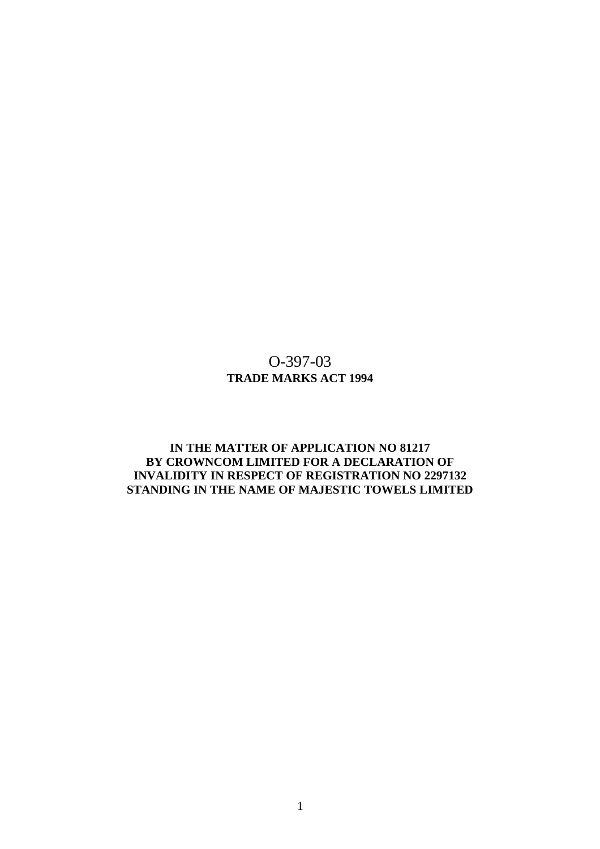# O-397-03 **TRADE MARKS ACT 1994**

# **IN THE MATTER OF APPLICATION NO 81217 BY CROWNCOM LIMITED FOR A DECLARATION OF INVALIDITY IN RESPECT OF REGISTRATION NO 2297132 STANDING IN THE NAME OF MAJESTIC TOWELS LIMITED**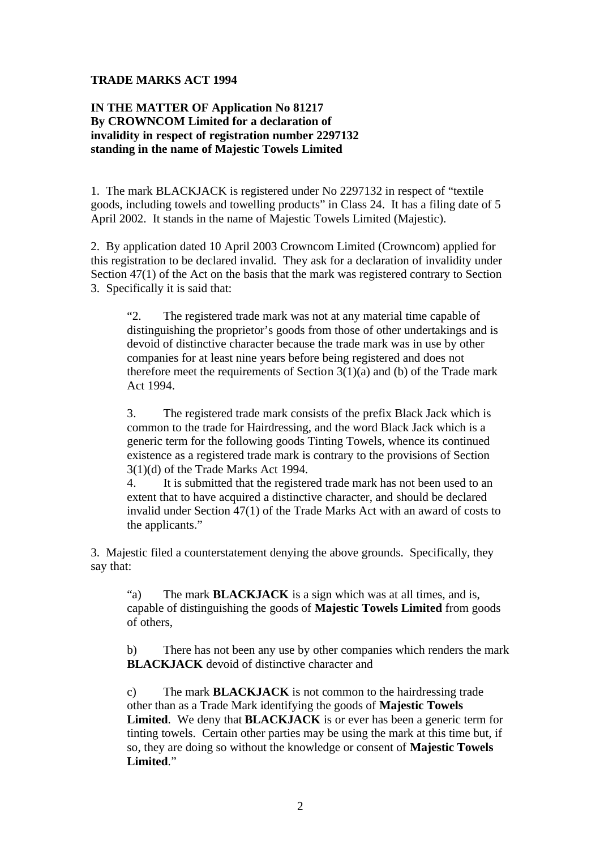### **TRADE MARKS ACT 1994**

# **IN THE MATTER OF Application No 81217 By CROWNCOM Limited for a declaration of invalidity in respect of registration number 2297132 standing in the name of Majestic Towels Limited**

1. The mark BLACKJACK is registered under No 2297132 in respect of "textile goods, including towels and towelling products" in Class 24. It has a filing date of 5 April 2002. It stands in the name of Majestic Towels Limited (Majestic).

2. By application dated 10 April 2003 Crowncom Limited (Crowncom) applied for this registration to be declared invalid. They ask for a declaration of invalidity under Section 47(1) of the Act on the basis that the mark was registered contrary to Section 3. Specifically it is said that:

"2. The registered trade mark was not at any material time capable of distinguishing the proprietor's goods from those of other undertakings and is devoid of distinctive character because the trade mark was in use by other companies for at least nine years before being registered and does not therefore meet the requirements of Section  $3(1)(a)$  and (b) of the Trade mark Act 1994.

3. The registered trade mark consists of the prefix Black Jack which is common to the trade for Hairdressing, and the word Black Jack which is a generic term for the following goods Tinting Towels, whence its continued existence as a registered trade mark is contrary to the provisions of Section 3(1)(d) of the Trade Marks Act 1994.

4. It is submitted that the registered trade mark has not been used to an extent that to have acquired a distinctive character, and should be declared invalid under Section 47(1) of the Trade Marks Act with an award of costs to the applicants."

3. Majestic filed a counterstatement denying the above grounds. Specifically, they say that:

"a) The mark **BLACKJACK** is a sign which was at all times, and is, capable of distinguishing the goods of **Majestic Towels Limited** from goods of others,

b) There has not been any use by other companies which renders the mark **BLACKJACK** devoid of distinctive character and

c) The mark **BLACKJACK** is not common to the hairdressing trade other than as a Trade Mark identifying the goods of **Majestic Towels Limited**. We deny that **BLACKJACK** is or ever has been a generic term for tinting towels. Certain other parties may be using the mark at this time but, if so, they are doing so without the knowledge or consent of **Majestic Towels Limited**."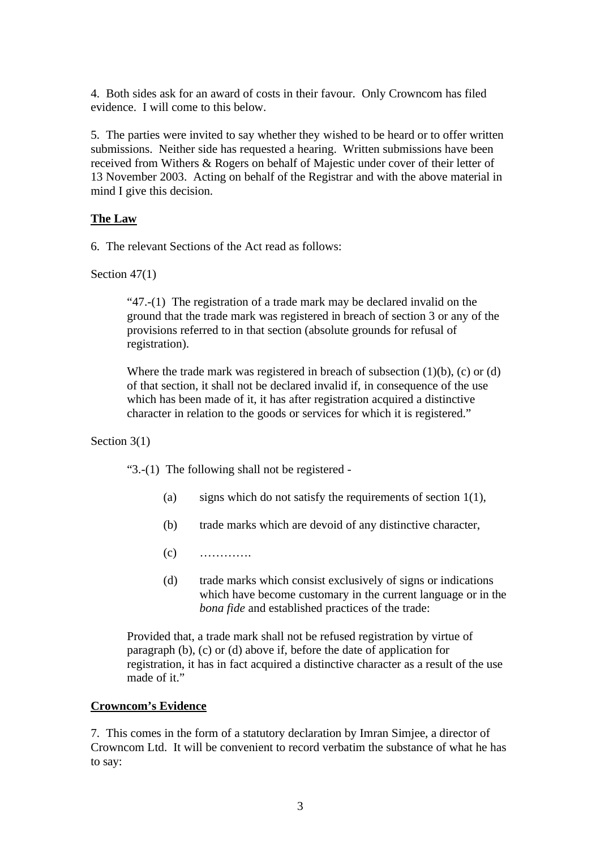4. Both sides ask for an award of costs in their favour. Only Crowncom has filed evidence. I will come to this below.

5. The parties were invited to say whether they wished to be heard or to offer written submissions. Neither side has requested a hearing. Written submissions have been received from Withers & Rogers on behalf of Majestic under cover of their letter of 13 November 2003. Acting on behalf of the Registrar and with the above material in mind I give this decision.

# **The Law**

6. The relevant Sections of the Act read as follows:

Section 47(1)

"47.-(1) The registration of a trade mark may be declared invalid on the ground that the trade mark was registered in breach of section 3 or any of the provisions referred to in that section (absolute grounds for refusal of registration).

Where the trade mark was registered in breach of subsection  $(1)(b)$ ,  $(c)$  or  $(d)$ of that section, it shall not be declared invalid if, in consequence of the use which has been made of it, it has after registration acquired a distinctive character in relation to the goods or services for which it is registered."

Section 3(1)

"3.-(1) The following shall not be registered -

- (a) signs which do not satisfy the requirements of section  $1(1)$ ,
- (b) trade marks which are devoid of any distinctive character,
- $(c)$  …………
- (d) trade marks which consist exclusively of signs or indications which have become customary in the current language or in the *bona fide* and established practices of the trade:

Provided that, a trade mark shall not be refused registration by virtue of paragraph (b), (c) or (d) above if, before the date of application for registration, it has in fact acquired a distinctive character as a result of the use made of it."

#### **Crowncom's Evidence**

7. This comes in the form of a statutory declaration by Imran Simjee, a director of Crowncom Ltd. It will be convenient to record verbatim the substance of what he has to say: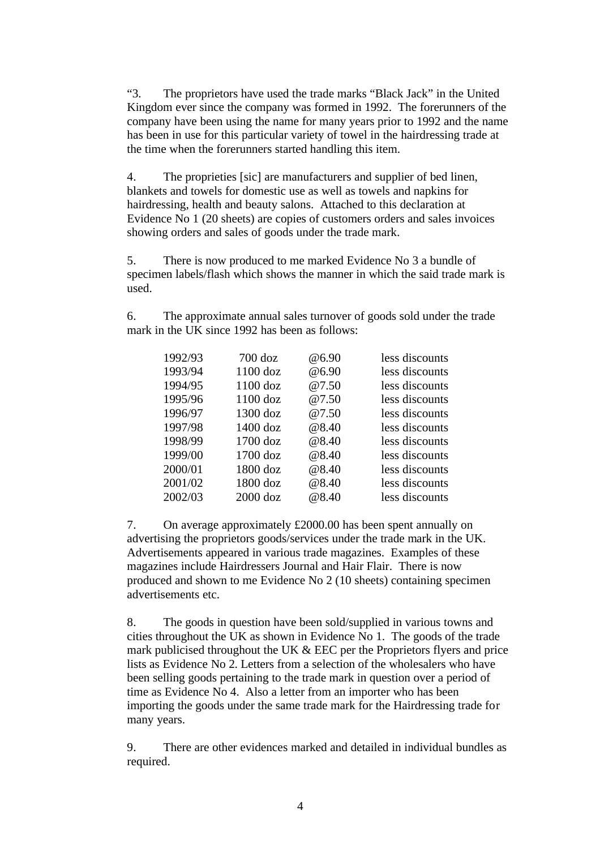"3. The proprietors have used the trade marks "Black Jack" in the United Kingdom ever since the company was formed in 1992. The forerunners of the company have been using the name for many years prior to 1992 and the name has been in use for this particular variety of towel in the hairdressing trade at the time when the forerunners started handling this item.

4. The proprieties [sic] are manufacturers and supplier of bed linen, blankets and towels for domestic use as well as towels and napkins for hairdressing, health and beauty salons. Attached to this declaration at Evidence No 1 (20 sheets) are copies of customers orders and sales invoices showing orders and sales of goods under the trade mark.

5. There is now produced to me marked Evidence No 3 a bundle of specimen labels/flash which shows the manner in which the said trade mark is used.

6. The approximate annual sales turnover of goods sold under the trade mark in the UK since 1992 has been as follows:

| 1992/93 | $700$ doz  | @6.90 | less discounts |
|---------|------------|-------|----------------|
| 1993/94 | $1100$ doz | @6.90 | less discounts |
| 1994/95 | $1100$ doz | @7.50 | less discounts |
| 1995/96 | $1100$ doz | @7.50 | less discounts |
| 1996/97 | $1300$ doz | @7.50 | less discounts |
| 1997/98 | $1400$ doz | @8.40 | less discounts |
| 1998/99 | 1700 doz   | @8.40 | less discounts |
| 1999/00 | $1700$ doz | @8.40 | less discounts |
| 2000/01 | 1800 doz   | @8.40 | less discounts |
| 2001/02 | 1800 doz   | @8.40 | less discounts |
| 2002/03 | $2000$ doz | @8.40 | less discounts |

7. On average approximately £2000.00 has been spent annually on advertising the proprietors goods/services under the trade mark in the UK. Advertisements appeared in various trade magazines. Examples of these magazines include Hairdressers Journal and Hair Flair. There is now produced and shown to me Evidence No 2 (10 sheets) containing specimen advertisements etc.

8. The goods in question have been sold/supplied in various towns and cities throughout the UK as shown in Evidence No 1. The goods of the trade mark publicised throughout the UK & EEC per the Proprietors flyers and price lists as Evidence No 2. Letters from a selection of the wholesalers who have been selling goods pertaining to the trade mark in question over a period of time as Evidence No 4. Also a letter from an importer who has been importing the goods under the same trade mark for the Hairdressing trade for many years.

9. There are other evidences marked and detailed in individual bundles as required.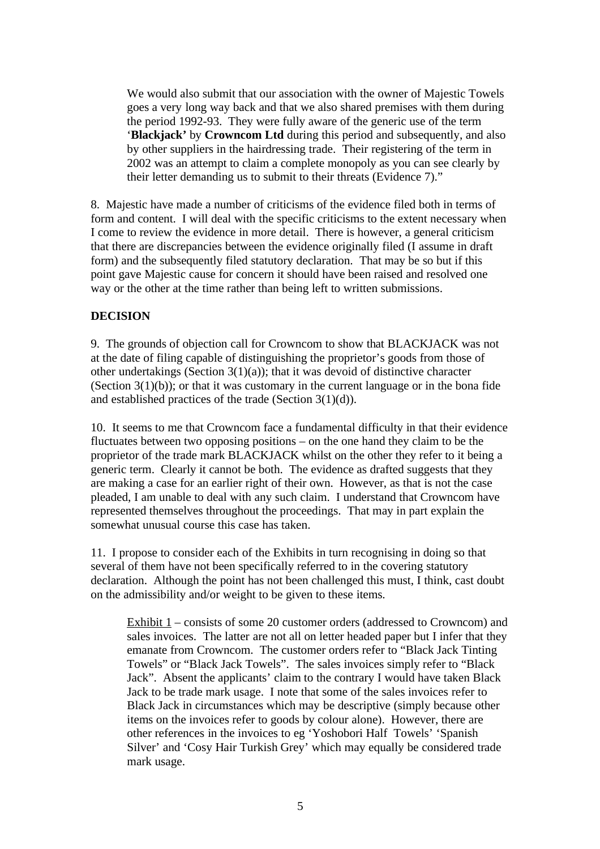We would also submit that our association with the owner of Majestic Towels goes a very long way back and that we also shared premises with them during the period 1992-93. They were fully aware of the generic use of the term '**Blackjack'** by **Crowncom Ltd** during this period and subsequently, and also by other suppliers in the hairdressing trade. Their registering of the term in 2002 was an attempt to claim a complete monopoly as you can see clearly by their letter demanding us to submit to their threats (Evidence 7)."

8. Majestic have made a number of criticisms of the evidence filed both in terms of form and content. I will deal with the specific criticisms to the extent necessary when I come to review the evidence in more detail. There is however, a general criticism that there are discrepancies between the evidence originally filed (I assume in draft form) and the subsequently filed statutory declaration. That may be so but if this point gave Majestic cause for concern it should have been raised and resolved one way or the other at the time rather than being left to written submissions.

# **DECISION**

9. The grounds of objection call for Crowncom to show that BLACKJACK was not at the date of filing capable of distinguishing the proprietor's goods from those of other undertakings (Section  $3(1)(a)$ ); that it was devoid of distinctive character (Section  $3(1)(b)$ ); or that it was customary in the current language or in the bona fide and established practices of the trade (Section 3(1)(d)).

10. It seems to me that Crowncom face a fundamental difficulty in that their evidence fluctuates between two opposing positions – on the one hand they claim to be the proprietor of the trade mark BLACKJACK whilst on the other they refer to it being a generic term. Clearly it cannot be both. The evidence as drafted suggests that they are making a case for an earlier right of their own. However, as that is not the case pleaded, I am unable to deal with any such claim. I understand that Crowncom have represented themselves throughout the proceedings. That may in part explain the somewhat unusual course this case has taken.

11. I propose to consider each of the Exhibits in turn recognising in doing so that several of them have not been specifically referred to in the covering statutory declaration. Although the point has not been challenged this must, I think, cast doubt on the admissibility and/or weight to be given to these items.

Exhibit  $1$  – consists of some 20 customer orders (addressed to Crowncom) and sales invoices. The latter are not all on letter headed paper but I infer that they emanate from Crowncom. The customer orders refer to "Black Jack Tinting Towels" or "Black Jack Towels". The sales invoices simply refer to "Black Jack". Absent the applicants' claim to the contrary I would have taken Black Jack to be trade mark usage. I note that some of the sales invoices refer to Black Jack in circumstances which may be descriptive (simply because other items on the invoices refer to goods by colour alone). However, there are other references in the invoices to eg 'Yoshobori Half Towels' 'Spanish Silver' and 'Cosy Hair Turkish Grey' which may equally be considered trade mark usage.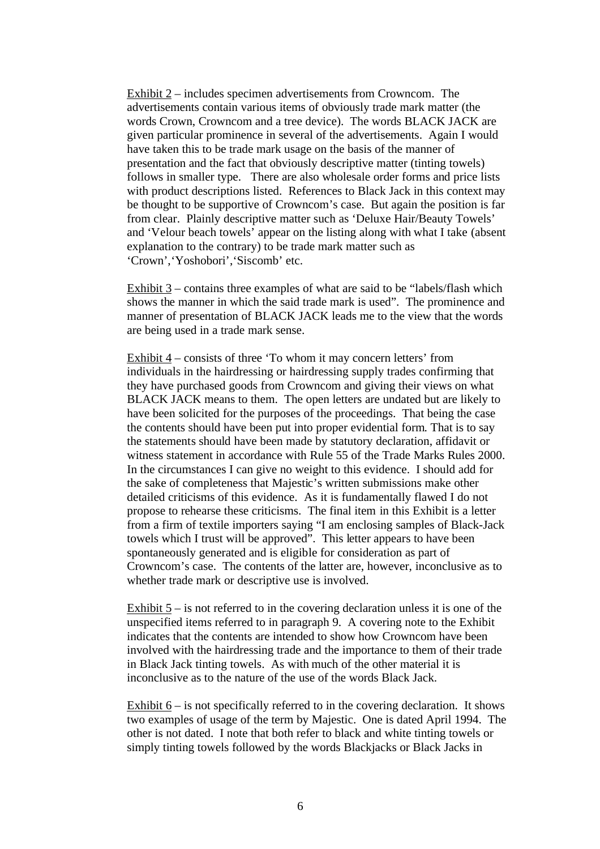Exhibit 2 – includes specimen advertisements from Crowncom. The advertisements contain various items of obviously trade mark matter (the words Crown, Crowncom and a tree device). The words BLACK JACK are given particular prominence in several of the advertisements. Again I would have taken this to be trade mark usage on the basis of the manner of presentation and the fact that obviously descriptive matter (tinting towels) follows in smaller type. There are also wholesale order forms and price lists with product descriptions listed. References to Black Jack in this context may be thought to be supportive of Crowncom's case. But again the position is far from clear. Plainly descriptive matter such as 'Deluxe Hair/Beauty Towels' and 'Velour beach towels' appear on the listing along with what I take (absent explanation to the contrary) to be trade mark matter such as 'Crown','Yoshobori','Siscomb' etc.

Exhibit 3 – contains three examples of what are said to be "labels/flash which shows the manner in which the said trade mark is used". The prominence and manner of presentation of BLACK JACK leads me to the view that the words are being used in a trade mark sense.

Exhibit  $4$  – consists of three 'To whom it may concern letters' from individuals in the hairdressing or hairdressing supply trades confirming that they have purchased goods from Crowncom and giving their views on what BLACK JACK means to them. The open letters are undated but are likely to have been solicited for the purposes of the proceedings. That being the case the contents should have been put into proper evidential form. That is to say the statements should have been made by statutory declaration, affidavit or witness statement in accordance with Rule 55 of the Trade Marks Rules 2000. In the circumstances I can give no weight to this evidence. I should add for the sake of completeness that Majestic's written submissions make other detailed criticisms of this evidence. As it is fundamentally flawed I do not propose to rehearse these criticisms. The final item in this Exhibit is a letter from a firm of textile importers saying "I am enclosing samples of Black-Jack towels which I trust will be approved". This letter appears to have been spontaneously generated and is eligible for consideration as part of Crowncom's case. The contents of the latter are, however, inconclusive as to whether trade mark or descriptive use is involved.

Exhibit 5 – is not referred to in the covering declaration unless it is one of the unspecified items referred to in paragraph 9. A covering note to the Exhibit indicates that the contents are intended to show how Crowncom have been involved with the hairdressing trade and the importance to them of their trade in Black Jack tinting towels. As with much of the other material it is inconclusive as to the nature of the use of the words Black Jack.

Exhibit  $6 -$  is not specifically referred to in the covering declaration. It shows two examples of usage of the term by Majestic. One is dated April 1994. The other is not dated. I note that both refer to black and white tinting towels or simply tinting towels followed by the words Blackjacks or Black Jacks in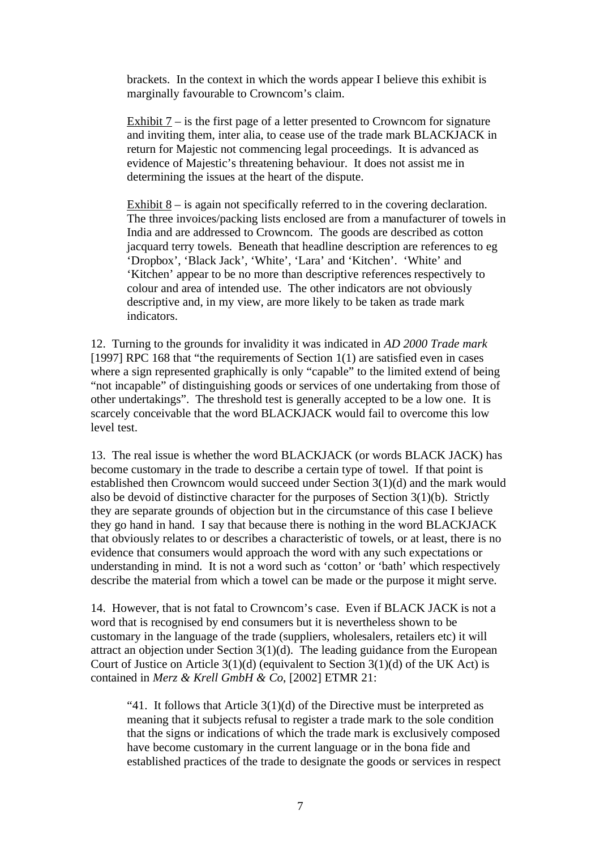brackets. In the context in which the words appear I believe this exhibit is marginally favourable to Crowncom's claim.

Exhibit 7 – is the first page of a letter presented to Crowncom for signature and inviting them, inter alia, to cease use of the trade mark BLACKJACK in return for Majestic not commencing legal proceedings. It is advanced as evidence of Majestic's threatening behaviour. It does not assist me in determining the issues at the heart of the dispute.

Exhibit 8 – is again not specifically referred to in the covering declaration. The three invoices/packing lists enclosed are from a manufacturer of towels in India and are addressed to Crowncom. The goods are described as cotton jacquard terry towels. Beneath that headline description are references to eg 'Dropbox', 'Black Jack', 'White', 'Lara' and 'Kitchen'. 'White' and 'Kitchen' appear to be no more than descriptive references respectively to colour and area of intended use. The other indicators are not obviously descriptive and, in my view, are more likely to be taken as trade mark indicators.

12. Turning to the grounds for invalidity it was indicated in *AD 2000 Trade mark* [1997] RPC 168 that "the requirements of Section 1(1) are satisfied even in cases where a sign represented graphically is only "capable" to the limited extend of being "not incapable" of distinguishing goods or services of one undertaking from those of other undertakings". The threshold test is generally accepted to be a low one. It is scarcely conceivable that the word BLACKJACK would fail to overcome this low level test.

13. The real issue is whether the word BLACKJACK (or words BLACK JACK) has become customary in the trade to describe a certain type of towel. If that point is established then Crowncom would succeed under Section 3(1)(d) and the mark would also be devoid of distinctive character for the purposes of Section 3(1)(b). Strictly they are separate grounds of objection but in the circumstance of this case I believe they go hand in hand. I say that because there is nothing in the word BLACKJACK that obviously relates to or describes a characteristic of towels, or at least, there is no evidence that consumers would approach the word with any such expectations or understanding in mind. It is not a word such as 'cotton' or 'bath' which respectively describe the material from which a towel can be made or the purpose it might serve.

14. However, that is not fatal to Crowncom's case. Even if BLACK JACK is not a word that is recognised by end consumers but it is nevertheless shown to be customary in the language of the trade (suppliers, wholesalers, retailers etc) it will attract an objection under Section  $3(1)(d)$ . The leading guidance from the European Court of Justice on Article  $3(1)(d)$  (equivalent to Section  $3(1)(d)$  of the UK Act) is contained in *Merz & Krell GmbH & Co*, [2002] ETMR 21:

"41. It follows that Article  $3(1)(d)$  of the Directive must be interpreted as meaning that it subjects refusal to register a trade mark to the sole condition that the signs or indications of which the trade mark is exclusively composed have become customary in the current language or in the bona fide and established practices of the trade to designate the goods or services in respect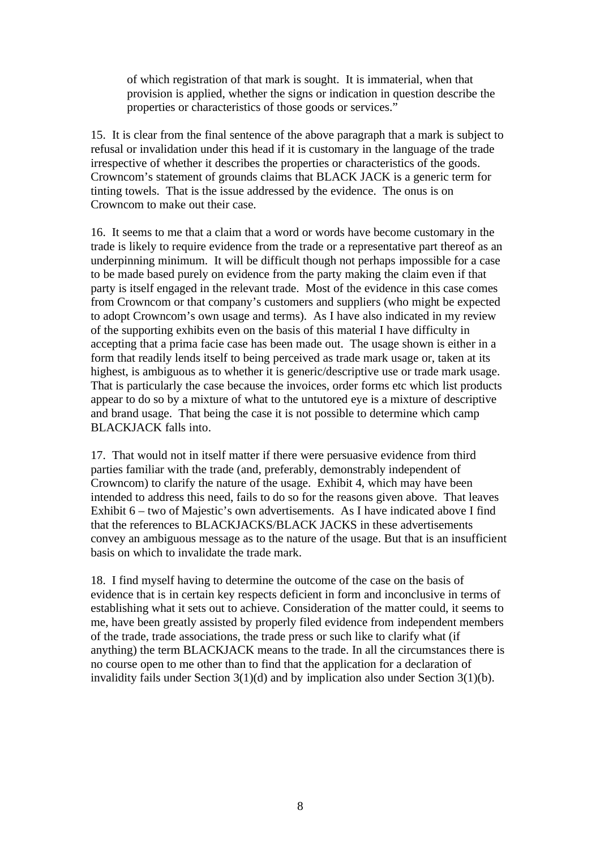of which registration of that mark is sought. It is immaterial, when that provision is applied, whether the signs or indication in question describe the properties or characteristics of those goods or services."

15. It is clear from the final sentence of the above paragraph that a mark is subject to refusal or invalidation under this head if it is customary in the language of the trade irrespective of whether it describes the properties or characteristics of the goods. Crowncom's statement of grounds claims that BLACK JACK is a generic term for tinting towels. That is the issue addressed by the evidence. The onus is on Crowncom to make out their case.

16. It seems to me that a claim that a word or words have become customary in the trade is likely to require evidence from the trade or a representative part thereof as an underpinning minimum. It will be difficult though not perhaps impossible for a case to be made based purely on evidence from the party making the claim even if that party is itself engaged in the relevant trade. Most of the evidence in this case comes from Crowncom or that company's customers and suppliers (who might be expected to adopt Crowncom's own usage and terms). As I have also indicated in my review of the supporting exhibits even on the basis of this material I have difficulty in accepting that a prima facie case has been made out. The usage shown is either in a form that readily lends itself to being perceived as trade mark usage or, taken at its highest, is ambiguous as to whether it is generic/descriptive use or trade mark usage. That is particularly the case because the invoices, order forms etc which list products appear to do so by a mixture of what to the untutored eye is a mixture of descriptive and brand usage. That being the case it is not possible to determine which camp BLACKJACK falls into.

17. That would not in itself matter if there were persuasive evidence from third parties familiar with the trade (and, preferably, demonstrably independent of Crowncom) to clarify the nature of the usage. Exhibit 4, which may have been intended to address this need, fails to do so for the reasons given above. That leaves Exhibit 6 – two of Majestic's own advertisements. As I have indicated above I find that the references to BLACKJACKS/BLACK JACKS in these advertisements convey an ambiguous message as to the nature of the usage. But that is an insufficient basis on which to invalidate the trade mark.

18. I find myself having to determine the outcome of the case on the basis of evidence that is in certain key respects deficient in form and inconclusive in terms of establishing what it sets out to achieve. Consideration of the matter could, it seems to me, have been greatly assisted by properly filed evidence from independent members of the trade, trade associations, the trade press or such like to clarify what (if anything) the term BLACKJACK means to the trade. In all the circumstances there is no course open to me other than to find that the application for a declaration of invalidity fails under Section 3(1)(d) and by implication also under Section 3(1)(b).